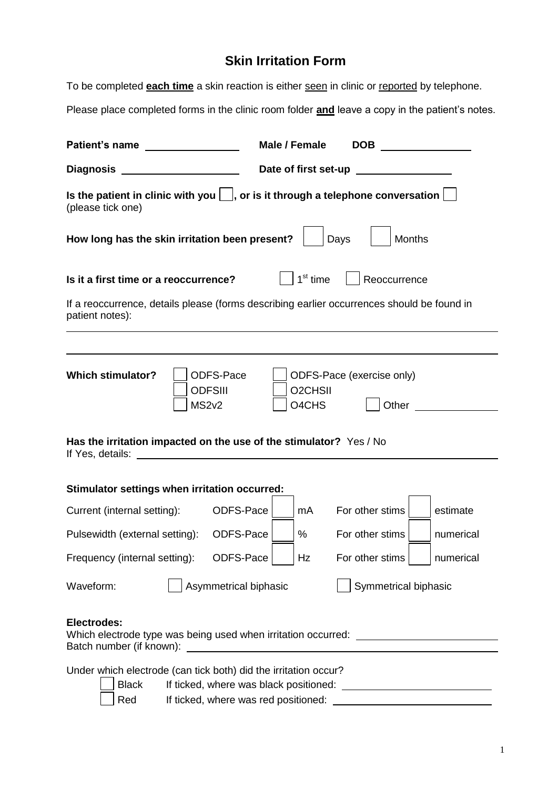## **Skin Irritation Form**

To be completed **each time** a skin reaction is either seen in clinic or reported by telephone.

Please place completed forms in the clinic room folder **and** leave a copy in the patient's notes.

| Patient's name                                                                                                             |                                                        | Male / Female                             | <b>DOB</b>                         |               |
|----------------------------------------------------------------------------------------------------------------------------|--------------------------------------------------------|-------------------------------------------|------------------------------------|---------------|
| Diagnosis _                                                                                                                |                                                        |                                           |                                    |               |
| Is the patient in clinic with you $\vert \ \vert$ , or is it through a telephone conversation $\vert$<br>(please tick one) |                                                        |                                           |                                    |               |
| How long has the skin irritation been present?                                                                             |                                                        |                                           | Days                               | <b>Months</b> |
| Is it a first time or a reoccurrence?                                                                                      |                                                        | 1 <sup>st</sup> time                      | Reoccurrence                       |               |
| If a reoccurrence, details please (forms describing earlier occurrences should be found in<br>patient notes):              |                                                        |                                           |                                    |               |
|                                                                                                                            |                                                        |                                           |                                    |               |
| <b>Which stimulator?</b>                                                                                                   | ODFS-Pace<br><b>ODFSIII</b><br>MS2v2                   | O <sub>2</sub> CH <sub>SII</sub><br>O4CHS | ODFS-Pace (exercise only)<br>Other |               |
| Has the irritation impacted on the use of the stimulator? Yes / No<br>If Yes, details:                                     | <u> 1980 - Jan Barnett, fransk politiker (d. 1980)</u> |                                           |                                    |               |
| Stimulator settings when irritation occurred:                                                                              |                                                        |                                           |                                    |               |
| Current (internal setting):                                                                                                | ODFS-Pace                                              | mA                                        | For other stims                    | estimate      |
| Pulsewidth (external setting):                                                                                             | ODFS-Pace                                              | %                                         | For other stims                    | numerical     |
| Frequency (internal setting):                                                                                              | ODFS-Pace   Hz                                         |                                           | For other stims                    | numerical     |
| Waveform:                                                                                                                  | Asymmetrical biphasic                                  |                                           | Symmetrical biphasic               |               |
| Electrodes:<br>Which electrode type was being used when irritation occurred: __________________                            |                                                        |                                           |                                    |               |
| Under which electrode (can tick both) did the irritation occur?<br><b>Black</b><br>Red                                     |                                                        |                                           |                                    |               |